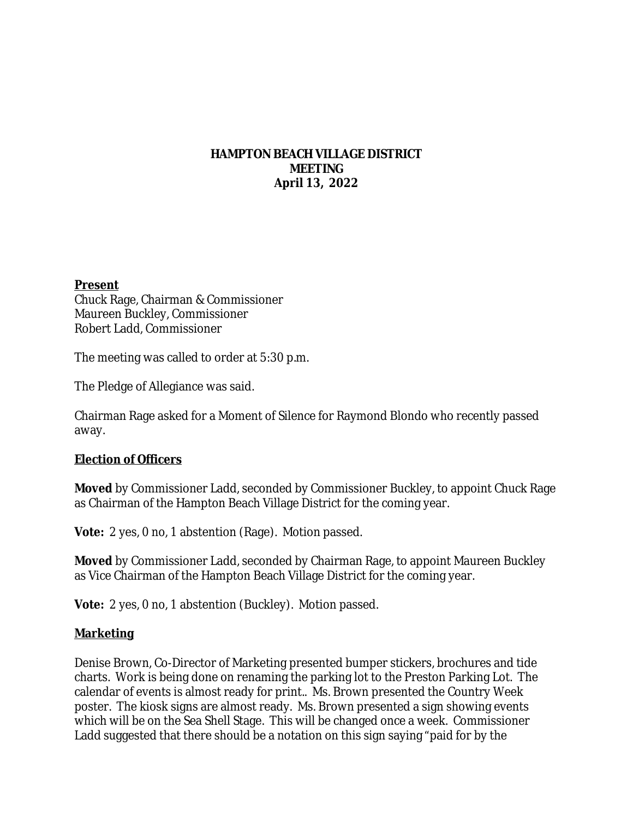## **HAMPTON BEACH VILLAGE DISTRICT MEETING April 13, 2022**

#### **Present**

Chuck Rage, Chairman & Commissioner Maureen Buckley, Commissioner Robert Ladd, Commissioner

The meeting was called to order at 5:30 p.m.

The Pledge of Allegiance was said.

Chairman Rage asked for a Moment of Silence for Raymond Blondo who recently passed away.

## **Election of Officers**

**Moved** by Commissioner Ladd, seconded by Commissioner Buckley, to appoint Chuck Rage as Chairman of the Hampton Beach Village District for the coming year.

**Vote:** 2 yes, 0 no, 1 abstention (Rage). Motion passed.

**Moved** by Commissioner Ladd, seconded by Chairman Rage, to appoint Maureen Buckley as Vice Chairman of the Hampton Beach Village District for the coming year.

**Vote:** 2 yes, 0 no, 1 abstention (Buckley). Motion passed.

## **Marketing**

Denise Brown, Co-Director of Marketing presented bumper stickers, brochures and tide charts. Work is being done on renaming the parking lot to the Preston Parking Lot. The calendar of events is almost ready for print.. Ms. Brown presented the Country Week poster. The kiosk signs are almost ready. Ms. Brown presented a sign showing events which will be on the Sea Shell Stage. This will be changed once a week. Commissioner Ladd suggested that there should be a notation on this sign saying "paid for by the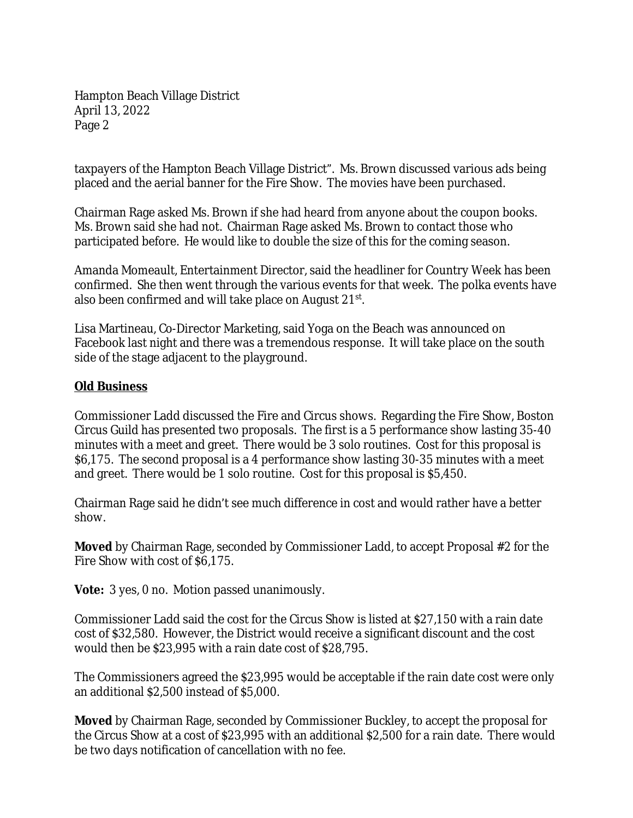Hampton Beach Village District April 13, 2022 Page 2

taxpayers of the Hampton Beach Village District". Ms. Brown discussed various ads being placed and the aerial banner for the Fire Show. The movies have been purchased.

Chairman Rage asked Ms. Brown if she had heard from anyone about the coupon books. Ms. Brown said she had not. Chairman Rage asked Ms. Brown to contact those who participated before. He would like to double the size of this for the coming season.

Amanda Momeault, Entertainment Director, said the headliner for Country Week has been confirmed. She then went through the various events for that week. The polka events have also been confirmed and will take place on August 21st.

Lisa Martineau, Co-Director Marketing, said Yoga on the Beach was announced on Facebook last night and there was a tremendous response. It will take place on the south side of the stage adjacent to the playground.

## **Old Business**

Commissioner Ladd discussed the Fire and Circus shows. Regarding the Fire Show, Boston Circus Guild has presented two proposals. The first is a 5 performance show lasting 35-40 minutes with a meet and greet. There would be 3 solo routines. Cost for this proposal is \$6,175. The second proposal is a 4 performance show lasting 30-35 minutes with a meet and greet. There would be 1 solo routine. Cost for this proposal is \$5,450.

Chairman Rage said he didn't see much difference in cost and would rather have a better show.

**Moved** by Chairman Rage, seconded by Commissioner Ladd, to accept Proposal #2 for the Fire Show with cost of \$6,175.

**Vote:** 3 yes, 0 no. Motion passed unanimously.

Commissioner Ladd said the cost for the Circus Show is listed at \$27,150 with a rain date cost of \$32,580. However, the District would receive a significant discount and the cost would then be \$23,995 with a rain date cost of \$28,795.

The Commissioners agreed the \$23,995 would be acceptable if the rain date cost were only an additional \$2,500 instead of \$5,000.

**Moved** by Chairman Rage, seconded by Commissioner Buckley, to accept the proposal for the Circus Show at a cost of \$23,995 with an additional \$2,500 for a rain date. There would be two days notification of cancellation with no fee.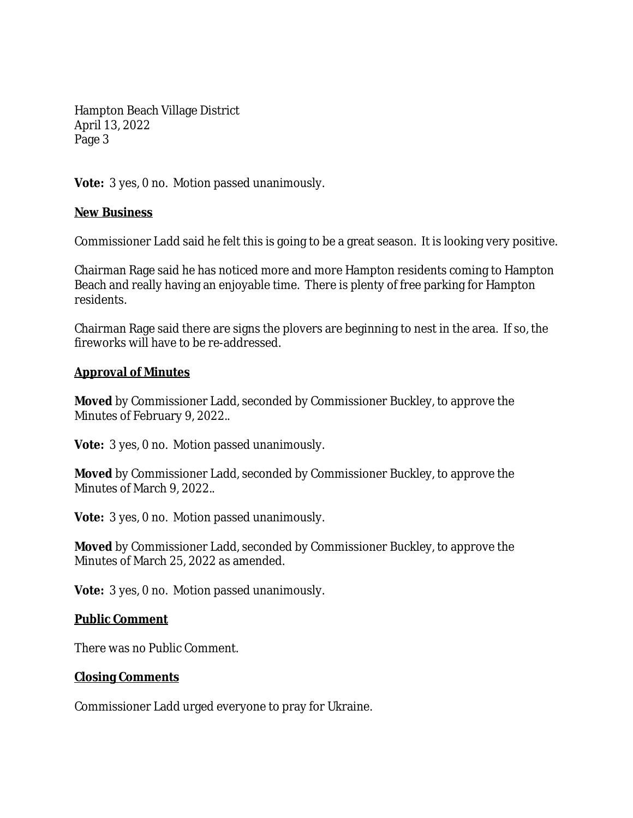Hampton Beach Village District April 13, 2022 Page 3

**Vote:** 3 yes, 0 no. Motion passed unanimously.

## **New Business**

Commissioner Ladd said he felt this is going to be a great season. It is looking very positive.

Chairman Rage said he has noticed more and more Hampton residents coming to Hampton Beach and really having an enjoyable time. There is plenty of free parking for Hampton residents.

Chairman Rage said there are signs the plovers are beginning to nest in the area. If so, the fireworks will have to be re-addressed.

## **Approval of Minutes**

**Moved** by Commissioner Ladd, seconded by Commissioner Buckley, to approve the Minutes of February 9, 2022..

**Vote:** 3 yes, 0 no. Motion passed unanimously.

**Moved** by Commissioner Ladd, seconded by Commissioner Buckley, to approve the Minutes of March 9, 2022..

**Vote:** 3 yes, 0 no. Motion passed unanimously.

**Moved** by Commissioner Ladd, seconded by Commissioner Buckley, to approve the Minutes of March 25, 2022 as amended.

**Vote:** 3 yes, 0 no. Motion passed unanimously.

## **Public Comment**

There was no Public Comment.

## **Closing Comments**

Commissioner Ladd urged everyone to pray for Ukraine.